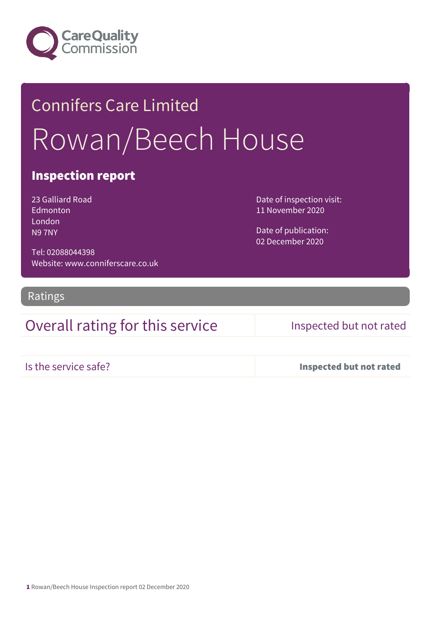

# Connifers Care Limited Rowan/Beech House

### Inspection report

23 Galliard Road **Edmonton** London N9 7NY

Date of inspection visit: 11 November 2020

Date of publication: 02 December 2020

Tel: 02088044398 Website: www.conniferscare.co.uk

Ratings

## Overall rating for this service Inspected but not rated

Is the service safe? Inspected but not rated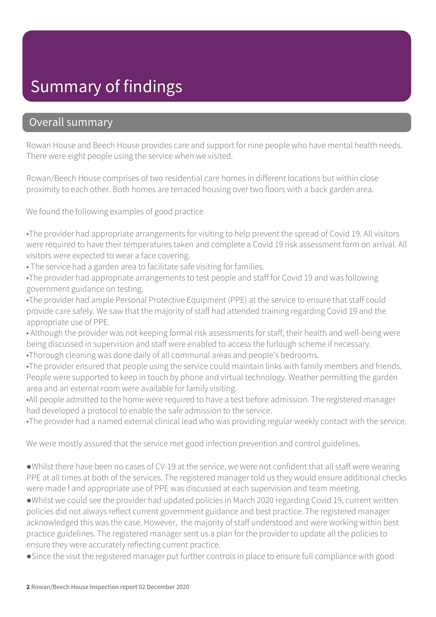# Summary of findings

### Overall summary

Rowan House and Beech House provides care and support for nine people who have mental health needs. There were eight people using the service when we visited.

Rowan/Beech House comprises of two residential care homes in different locations but within close proximity to each other. Both homes are terraced housing over two floors with a back garden area.

We found the following examples of good practice

•The provider had appropriate arrangements for visiting to help prevent the spread of Covid 19. All visitors were required to have their temperatures taken and complete a Covid 19 risk assessment form on arrival. All visitors were expected to wear a face covering.

• The service had a garden area to facilitate safe visiting for families.

•The provider had appropriate arrangements to test people and staff for Covid 19 and was following government guidance on testing.

•The provider had ample Personal Protective Equipment (PPE) at the service to ensure that staff could provide care safely. We saw that the majority of staff had attended training regarding Covid 19 and the appropriate use of PPE.

• Although the provider was not keeping formal risk assessments for staff, their health and well-being were being discussed in supervision and staff were enabled to access the furlough scheme if necessary. •Thorough cleaning was done daily of all communal areas and people's bedrooms.

•The provider ensured that people using the service could maintain links with family members and friends. People were supported to keep in touch by phone and virtual technology. Weather permitting the garden area and an external room were available for family visiting.

•All people admitted to the home were required to have a test before admission. The registered manager had developed a protocol to enable the safe admission to the service.

•The provider had a named external clinical lead who was providing regular weekly contact with the service.

We were mostly assured that the service met good infection prevention and control guidelines.

●Whilst there have been no cases of CV-19 at the service, we were not confident that all staff were wearing PPE at all times at both of the services. The registered manager told us they would ensure additional checks were made f and appropriate use of PPE was discussed at each supervision and team meeting.

●Whilst we could see the provider had updated policies in March 2020 regarding Covid 19, current written policies did not always reflect current government guidance and best practice. The registered manager acknowledged this was the case. However, the majority of staff understood and were working within best practice guidelines. The registered manager sent us a plan for the provider to update all the policies to ensure they were accurately reflecting current practice.

●Since the visit the registered manager put further controls in place to ensure full compliance with good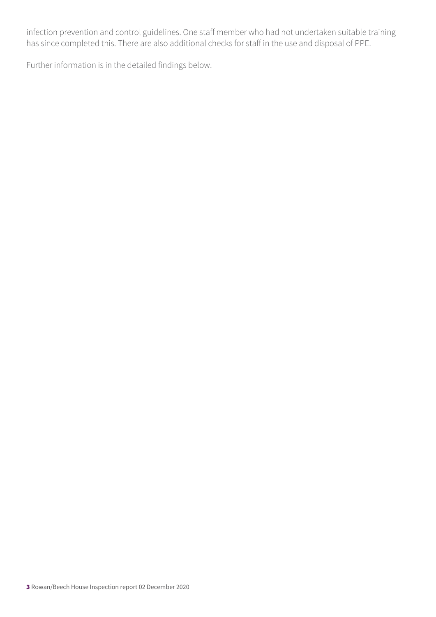infection prevention and control guidelines. One staff member who had not undertaken suitable training has since completed this. There are also additional checks for staff in the use and disposal of PPE.

Further information is in the detailed findings below.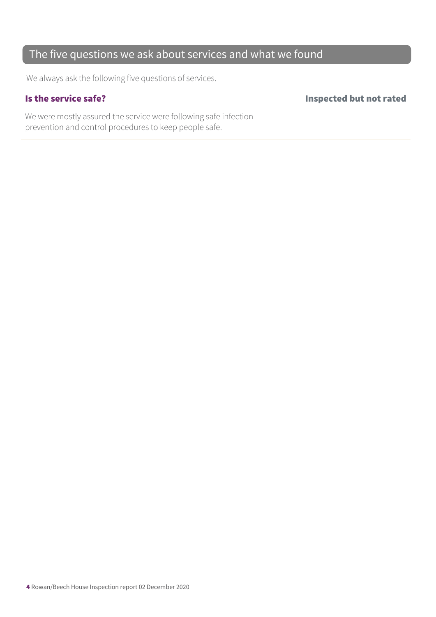## The five questions we ask about services and what we found

We always ask the following five questions of services.

We were mostly assured the service were following safe infection prevention and control procedures to keep people safe.

Is the service safe? Inspected but not rated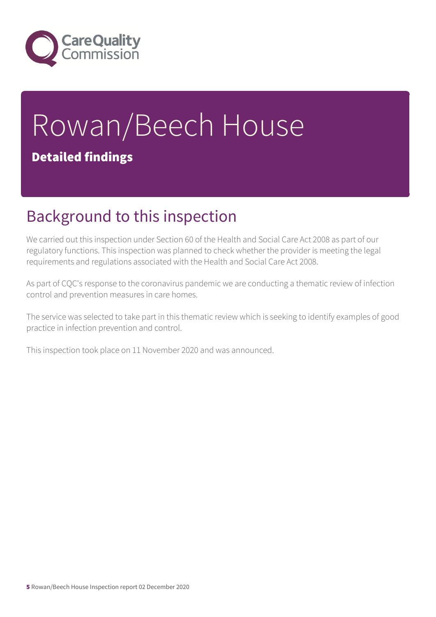

# Rowan/Beech House Detailed findings

# Background to this inspection

We carried out this inspection under Section 60 of the Health and Social Care Act 2008 as part of our regulatory functions. This inspection was planned to check whether the provider is meeting the legal requirements and regulations associated with the Health and Social Care Act 2008.

As part of CQC's response to the coronavirus pandemic we are conducting a thematic review of infection control and prevention measures in care homes.

The service was selected to take part in this thematic review which is seeking to identify examples of good practice in infection prevention and control.

This inspection took place on 11 November 2020 and was announced.